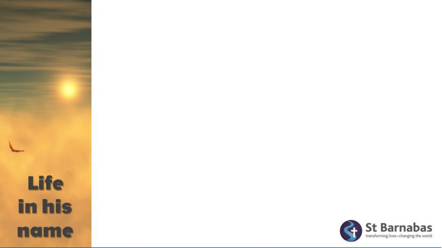

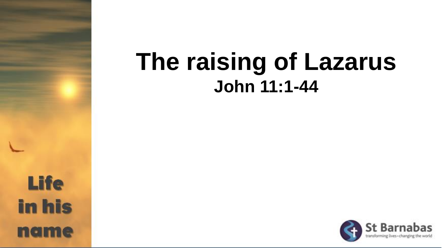# **The raising of Lazarus John 11:1-44**

**Life in his** name

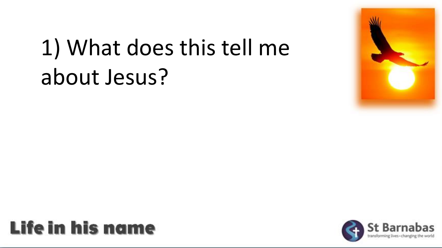

# 1) What does this tell me about Jesus?



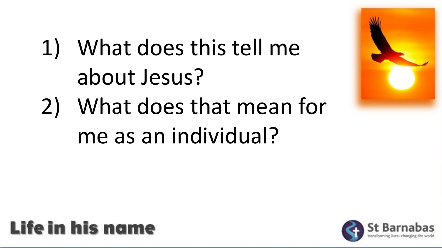

- 1) What does this tell me about Jesus?
- 2) What does that mean for me as an individual?



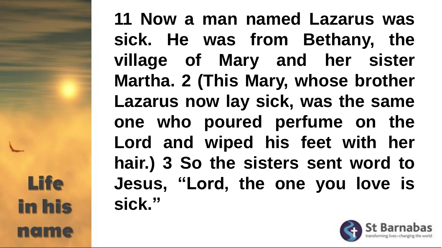**11 Now a man named Lazarus was sick. He was from Bethany, the village of Mary and her sister Martha. 2 (This Mary, whose brother Lazarus now lay sick, was the same one who poured perfume on the Lord and wiped his feet with her hair.) 3 So the sisters sent word to Jesus, "Lord, the one you love is sick."**

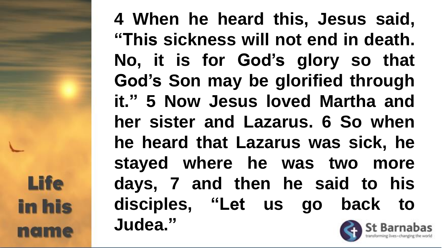**4 When he heard this, Jesus said, "This sickness will not end in death. No, it is for God's glory so that God's Son may be glorified through it." 5 Now Jesus loved Martha and her sister and Lazarus. 6 So when he heard that Lazarus was sick, he stayed where he was two more days, 7 and then he said to his disciples, "Let us go back to Judea."**

**Life in his** nam

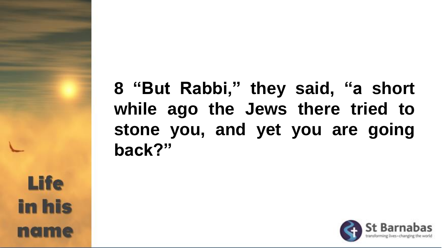**8 "But Rabbi," they said, "a short while ago the Jews there tried to stone you, and yet you are going back?"**

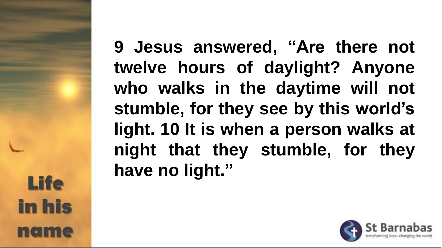**9 Jesus answered, "Are there not twelve hours of daylight? Anyone who walks in the daytime will not stumble, for they see by this world's light. 10 It is when a person walks at night that they stumble, for they have no light."**

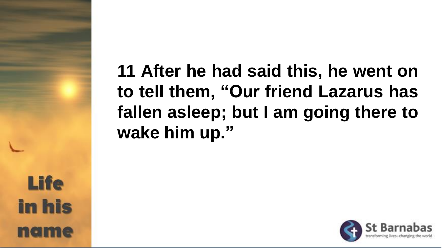**11 After he had said this, he went on to tell them, "Our friend Lazarus has fallen asleep; but I am going there to wake him up."**

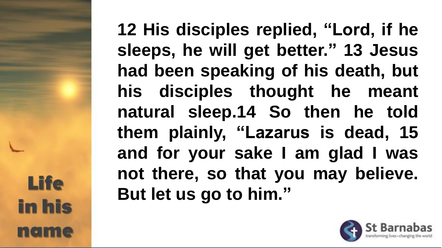**12 His disciples replied, "Lord, if he sleeps, he will get better." 13 Jesus had been speaking of his death, but his disciples thought he meant natural sleep.14 So then he told them plainly, "Lazarus is dead, 15 and for your sake I am glad I was not there, so that you may believe. But let us go to him."**

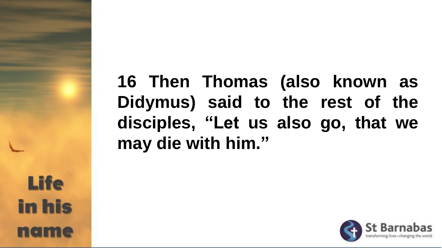**16 Then Thomas (also known as Didymus) said to the rest of the disciples, "Let us also go, that we may die with him."**



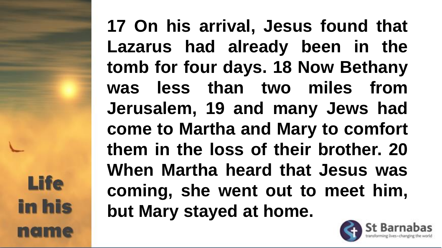**17 On his arrival, Jesus found that Lazarus had already been in the tomb for four days. 18 Now Bethany was less than two miles from Jerusalem, 19 and many Jews had come to Martha and Mary to comfort them in the loss of their brother. 20 When Martha heard that Jesus was coming, she went out to meet him, but Mary stayed at home.**

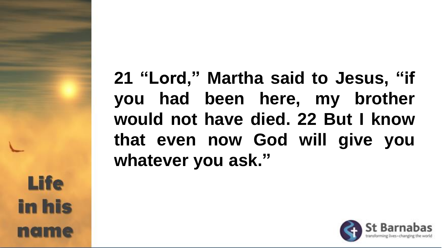**21 "Lord," Martha said to Jesus, "if you had been here, my brother would not have died. 22 But I know that even now God will give you whatever you ask."**

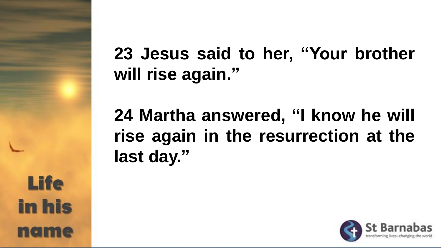

#### **23 Jesus said to her, "Your brother will rise again."**

**24 Martha answered, "I know he will rise again in the resurrection at the last day."**

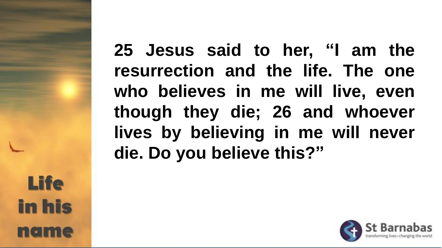**25 Jesus said to her, "I am the resurrection and the life. The one who believes in me will live, even though they die; 26 and whoever lives by believing in me will never die. Do you believe this?"**



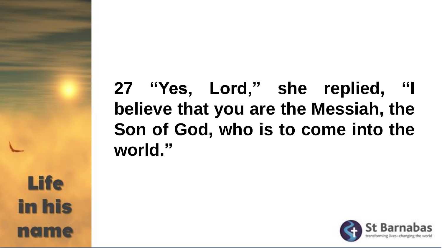## **27 "Yes, Lord," she replied, "I believe that you are the Messiah, the Son of God, who is to come into the world."**

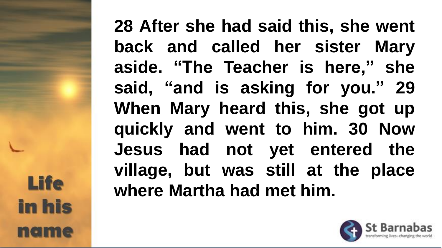**28 After she had said this, she went back and called her sister Mary aside. "The Teacher is here," she said, "and is asking for you." 29 When Mary heard this, she got up quickly and went to him. 30 Now Jesus had not yet entered the village, but was still at the place where Martha had met him.**

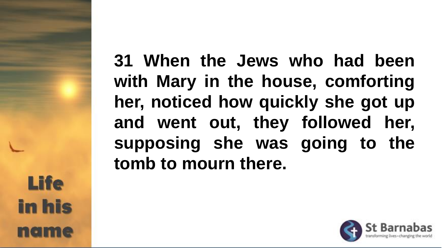**31 When the Jews who had been with Mary in the house, comforting her, noticed how quickly she got up and went out, they followed her, supposing she was going to the tomb to mourn there.**

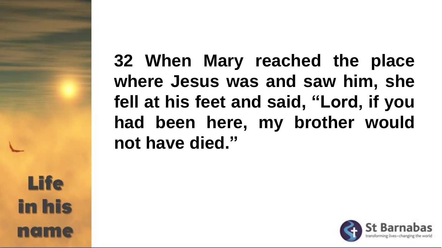**32 When Mary reached the place where Jesus was and saw him, she fell at his feet and said, "Lord, if you had been here, my brother would not have died."**

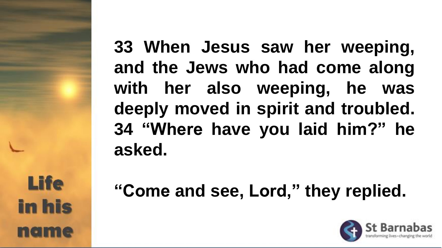**33 When Jesus saw her weeping, and the Jews who had come along with her also weeping, he was deeply moved in spirit and troubled. 34 "Where have you laid him?" he asked.**

**"Come and see, Lord," they replied.**

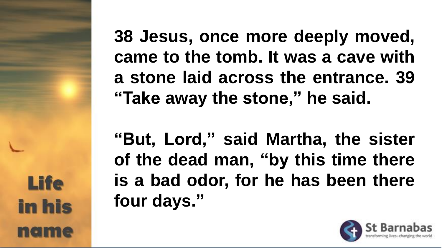**38 Jesus, once more deeply moved, came to the tomb. It was a cave with a stone laid across the entrance. 39 "Take away the stone," he said.**

**"But, Lord," said Martha, the sister of the dead man, "by this time there is a bad odor, for he has been there four days."**

**Life** 

**in his** 

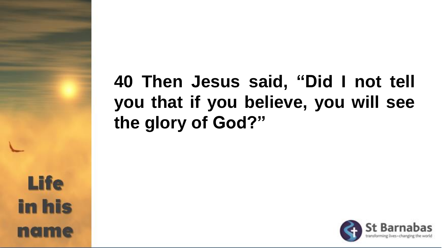## **40 Then Jesus said, "Did I not tell you that if you believe, you will see the glory of God?"**

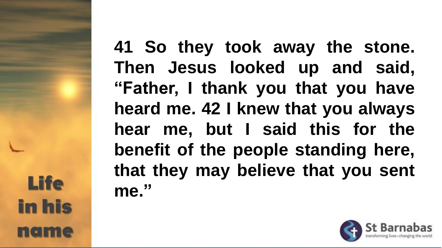**41 So they took away the stone. Then Jesus looked up and said, "Father, I thank you that you have heard me. 42 I knew that you always hear me, but I said this for the benefit of the people standing here, that they may believe that you sent me."**

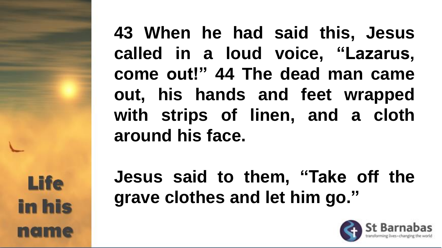**43 When he had said this, Jesus called in a loud voice, "Lazarus, come out!" 44 The dead man came out, his hands and feet wrapped with strips of linen, and a cloth around his face.**

**Jesus said to them, "Take off the grave clothes and let him go."**

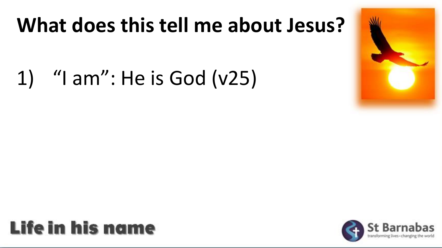## **What does this tell me about Jesus?**

1) "I am": He is God (v25)

#### Life in his name

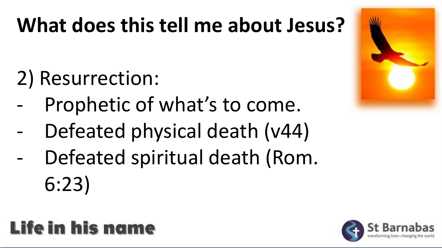# **What does this tell me about Jesus?**

- 2) Resurrection:
- Prophetic of what's to come.
- Defeated physical death (v44)
- Defeated spiritual death (Rom. 6:23)

## Life in his name



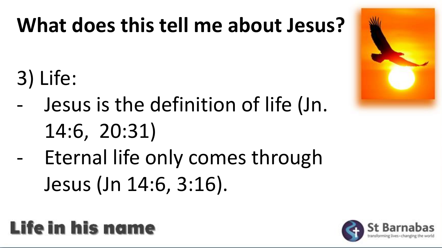# **What does this tell me about Jesus?**

- 3) Life:
- Jesus is the definition of life (Jn.
	- 14:6, 20:31)
- Eternal life only comes through Jesus (Jn 14:6, 3:16).

## Life in his name



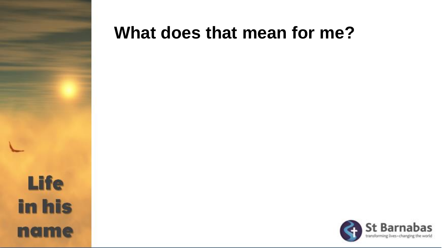

#### **What does that mean for me?**